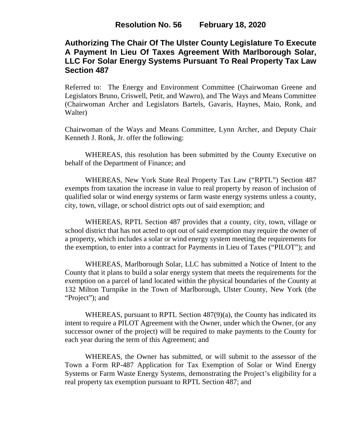# **Authorizing The Chair Of The Ulster County Legislature To Execute A Payment In Lieu Of Taxes Agreement With Marlborough Solar, LLC For Solar Energy Systems Pursuant To Real Property Tax Law Section 487**

Referred to: The Energy and Environment Committee (Chairwoman Greene and Legislators Bruno, Criswell, Petit, and Wawro), and The Ways and Means Committee (Chairwoman Archer and Legislators Bartels, Gavaris, Haynes, Maio, Ronk, and Walter)

Chairwoman of the Ways and Means Committee, Lynn Archer, and Deputy Chair Kenneth J. Ronk, Jr. offer the following:

WHEREAS, this resolution has been submitted by the County Executive on behalf of the Department of Finance; and

WHEREAS, New York State Real Property Tax Law ("RPTL") Section 487 exempts from taxation the increase in value to real property by reason of inclusion of qualified solar or wind energy systems or farm waste energy systems unless a county, city, town, village, or school district opts out of said exemption; and

WHEREAS, RPTL Section 487 provides that a county, city, town, village or school district that has not acted to opt out of said exemption may require the owner of a property, which includes a solar or wind energy system meeting the requirements for the exemption, to enter into a contract for Payments in Lieu of Taxes ("PILOT"); and

WHEREAS, Marlborough Solar, LLC has submitted a Notice of Intent to the County that it plans to build a solar energy system that meets the requirements for the exemption on a parcel of land located within the physical boundaries of the County at 132 Milton Turnpike in the Town of Marlborough, Ulster County, New York (the "Project"; and

WHEREAS, pursuant to RPTL Section 487(9)(a), the County has indicated its intent to require a PILOT Agreement with the Owner, under which the Owner, (or any successor owner of the project) will be required to make payments to the County for each year during the term of this Agreement; and

WHEREAS, the Owner has submitted, or will submit to the assessor of the Town a Form RP-487 Application for Tax Exemption of Solar or Wind Energy Systems or Farm Waste Energy Systems, demonstrating the Project's eligibility for a real property tax exemption pursuant to RPTL Section 487; and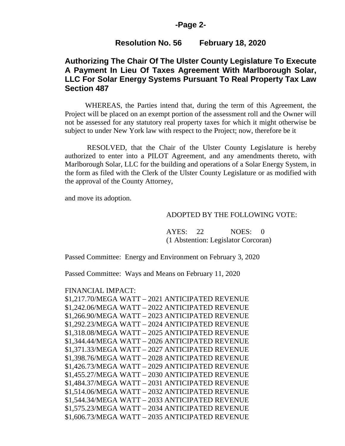### **-Page 2-**

### **Resolution No. 56 February 18, 2020**

## **Authorizing The Chair Of The Ulster County Legislature To Execute A Payment In Lieu Of Taxes Agreement With Marlborough Solar, LLC For Solar Energy Systems Pursuant To Real Property Tax Law Section 487**

WHEREAS, the Parties intend that, during the term of this Agreement, the Project will be placed on an exempt portion of the assessment roll and the Owner will not be assessed for any statutory real property taxes for which it might otherwise be subject to under New York law with respect to the Project; now, therefore be it

RESOLVED, that the Chair of the Ulster County Legislature is hereby authorized to enter into a PILOT Agreement, and any amendments thereto, with Marlborough Solar, LLC for the building and operations of a Solar Energy System, in the form as filed with the Clerk of the Ulster County Legislature or as modified with the approval of the County Attorney,

and move its adoption.

#### ADOPTED BY THE FOLLOWING VOTE:

AYES: 22 NOES: 0 (1 Abstention: Legislator Corcoran)

Passed Committee: Energy and Environment on February 3, 2020

Passed Committee: Ways and Means on February 11, 2020

#### FINANCIAL IMPACT:

| \$1,217.70/MEGA WATT - 2021 ANTICIPATED REVENUE |
|-------------------------------------------------|
| \$1,242.06/MEGA WATT - 2022 ANTICIPATED REVENUE |
| \$1,266.90/MEGA WATT - 2023 ANTICIPATED REVENUE |
| \$1,292.23/MEGA WATT - 2024 ANTICIPATED REVENUE |
| \$1,318.08/MEGA WATT - 2025 ANTICIPATED REVENUE |
| \$1,344.44/MEGA WATT - 2026 ANTICIPATED REVENUE |
| \$1.371.33/MEGA WATT - 2027 ANTICIPATED REVENUE |
| \$1,398.76/MEGA WATT - 2028 ANTICIPATED REVENUE |
| \$1,426.73/MEGA WATT - 2029 ANTICIPATED REVENUE |
| \$1,455.27/MEGA WATT - 2030 ANTICIPATED REVENUE |
| \$1,484.37/MEGA WATT - 2031 ANTICIPATED REVENUE |
| \$1,514.06/MEGA WATT - 2032 ANTICIPATED REVENUE |
| \$1,544.34/MEGA WATT - 2033 ANTICIPATED REVENUE |
| \$1,575.23/MEGA WATT - 2034 ANTICIPATED REVENUE |
| \$1,606.73/MEGA WATT - 2035 ANTICIPATED REVENUE |